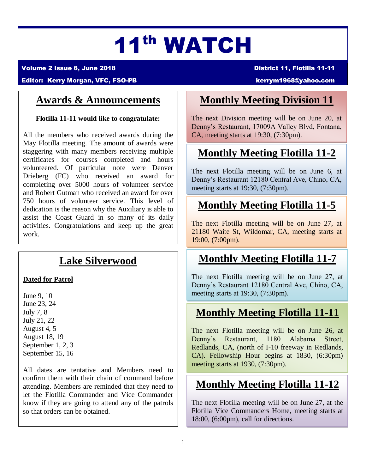# 11th WATCH

Volume 2 Issue 6, June 2018 **District 11, Flotilla 11-11** 

#### Editor: Kerry Morgan, VFC, FSO-PB [kerrym1968@yahoo.com](mailto:kerrym1968@yahoo.com)

#### **Awards & Announcements**

**Flotilla 11-11 would like to congratulate:**

All the members who received awards during the May Flotilla meeting. The amount of awards were staggering with many members receiving multiple certificates for courses completed and hours volunteered. Of particular note were Denver Drieberg (FC) who received an award for completing over 5000 hours of volunteer service and Robert Gutman who received an award for over 750 hours of volunteer service. This level of dedication is the reason why the Auxiliary is able to assist the Coast Guard in so many of its daily activities. Congratulations and keep up the great work.

#### **Lake Silverwood**

#### **Dated for Patrol**

June 9, 10 June 23, 24 July 7, 8 July 21, 22 August 4, 5 August 18, 19 September 1, 2, 3 September 15, 16

All dates are tentative and Members need to confirm them with their chain of command before attending. Members are reminded that they need to let the Flotilla Commander and Vice Commander know if they are going to attend any of the patrols so that orders can be obtained.

#### **Monthly Meeting Division 11**

The next Division meeting will be on June 20, at Denny's Restaurant, 17009A Valley Blvd, Fontana, CA, meeting starts at 19:30, (7:30pm).

#### **Monthly Meeting Flotilla 11-2**

The next Flotilla meeting will be on June 6, at Denny's Restaurant 12180 Central Ave, Chino, CA, meeting starts at 19:30, (7:30pm).

#### **Monthly Meeting Flotilla 11-5**

The next Flotilla meeting will be on June 27, at 21180 Waite St, Wildomar, CA, meeting starts at 19:00, (7:00pm).

#### **Monthly Meeting Flotilla 11-7**

The next Flotilla meeting will be on June 27, at Denny's Restaurant 12180 Central Ave, Chino, CA, meeting starts at 19:30, (7:30pm).

## **Monthly Meeting Flotilla 11-11**

The next Flotilla meeting will be on June 26, at Denny's Restaurant, 1180 Alabama Street, Redlands, CA, (north of I-10 freeway in Redlands, CA). Fellowship Hour begins at 1830, (6:30pm) meeting starts at 1930, (7:30pm).

## **Monthly Meeting Flotilla 11-12**

The next Flotilla meeting will be on June 27, at the Flotilla Vice Commanders Home, meeting starts at 18:00, (6:00pm), call for directions.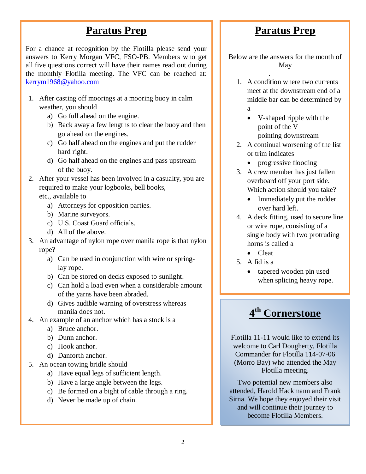#### **Paratus Prep**

For a chance at recognition by the Flotilla please send your answers to Kerry Morgan VFC, FSO-PB. Members who get all five questions correct will have their names read out during the monthly Flotilla meeting. The VFC can be reached at: [kerrym1968@yahoo.com](mailto:kerrym1968@yahoo.com)

- 1. After casting off moorings at a mooring buoy in calm weather, you should
	- a) Go full ahead on the engine.
	- b) Back away a few lengths to clear the buoy and then go ahead on the engines.
	- c) Go half ahead on the engines and put the rudder hard right.
	- d) Go half ahead on the engines and pass upstream of the buoy.
- 2. After your vessel has been involved in a casualty, you are required to make your logbooks, bell books, etc., available to
	- a) Attorneys for opposition parties.
	- b) Marine surveyors.
	- c) U.S. Coast Guard officials.
	- d) All of the above.
- 3. An advantage of nylon rope over manila rope is that nylon rope?
	- a) Can be used in conjunction with wire or springlay rope.
	- b) Can be stored on decks exposed to sunlight.
	- c) Can hold a load even when a considerable amount of the yarns have been abraded.
	- d) Gives audible warning of overstress whereas manila does not.
- 4. An example of an anchor which has a stock is a
	- a) Bruce anchor.
	- b) Dunn anchor.
	- c) Hook anchor.
	- d) Danforth anchor.
- 5. An ocean towing bridle should
	- a) Have equal legs of sufficient length.
	- b) Have a large angle between the legs.
	- c) Be formed on a bight of cable through a ring.
	- d) Never be made up of chain.

#### **Paratus Prep**

Below are the answers for the month of May

- . 1. A condition where two currents meet at the downstream end of a middle bar can be determined by a
	- V-shaped ripple with the point of the V pointing downstream
- 2. A continual worsening of the list or trim indicates
	- progressive flooding
- 3. A crew member has just fallen overboard off your port side. Which action should you take?
	- Immediately put the rudder over hard left.
- 4. A deck fitting, used to secure line or wire rope, consisting of a single body with two protruding horns is called a
	- Cleat
- 5. A fid is a
	- tapered wooden pin used when splicing heavy rope.

## **4 th Cornerstone**

Flotilla 11-11 would like to extend its welcome to Carl Dougherty, Flotilla Commander for Flotilla 114-07-06 (Morro Bay) who attended the May Flotilla meeting.

Two potential new members also attended, Harold Hackmann and Frank Sirna. We hope they enjoyed their visit and will continue their journey to become Flotilla Members.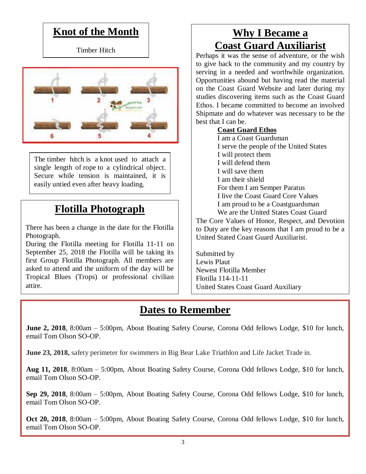#### **Knot of the Month**

Timber Hitch



The timber hitch is a [knot](https://en.wikipedia.org/wiki/Knot) used to attach a single length of [rope](https://en.wikipedia.org/wiki/Rope) to a cylindrical object. Secure while tension is maintained, it is easily untied even after heavy loading.

## **Flotilla Photograph**

There has been a change in the date for the Flotilla Photograph.

During the Flotilla meeting for Flotilla 11-11 on September 25, 2018 the Flotilla will be taking its first Group Flotilla Photograph. All members are asked to attend and the uniform of the day will be Tropical Blues (Trops) or professional civilian attire.

### **Why I Became a Coast Guard Auxiliarist**

Perhaps it was the sense of adventure, or the wish to give back to the community and my country by serving in a needed and worthwhile organization. Opportunities abound but having read the material on the Coast Guard Website and later during my studies discovering items such as the Coast Guard Ethos. I became committed to become an involved Shipmate and do whatever was necessary to be the best that I can be.

#### **Coast Guard Ethos**

I am a Coast Guardsman I serve the people of the United States I will protect them I will defend them I will save them I am their shield For them I am Semper Paratus I live the Coast Guard Core Values I am proud to be a Coastguardsman We are the United States Coast Guard

The Core Values of Honor, Respect, and Devotion to Duty are the key reasons that I am proud to be a United Stated Coast Guard Auxiliarist.

Submitted by Lewis Plaut Newest Flotilla Member Flotilla 114-11-11 United States Coast Guard Auxiliary

#### **Dates to Remember**

**June 2, 2018**, 8:00am – 5:00pm, About Boating Safety Course, Corona Odd fellows Lodge, \$10 for lunch, email Tom Olson SO-OP.

**June 23, 2018,** safety perimeter for swimmers in Big Bear Lake Triathlon and Life Jacket Trade in.

**Aug 11, 2018**, 8:00am – 5:00pm, About Boating Safety Course, Corona Odd fellows Lodge, \$10 for lunch, email Tom Olson SO-OP.

**Sep 29, 2018**, 8:00am – 5:00pm, About Boating Safety Course, Corona Odd fellows Lodge, \$10 for lunch, email Tom Olson SO-OP.

**Oct 20, 2018**, 8:00am – 5:00pm, About Boating Safety Course, Corona Odd fellows Lodge, \$10 for lunch, email Tom Olson SO-OP.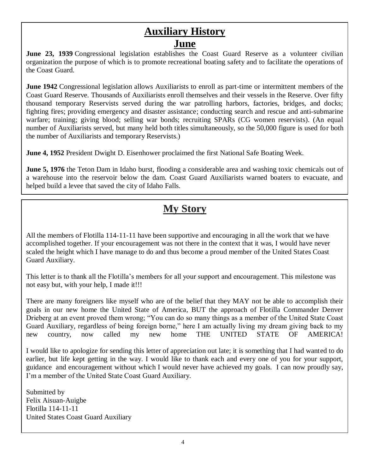#### **Auxiliary History June**

**June 23, 1939** Congressional legislation establishes the Coast Guard Reserve as a volunteer civilian organization the purpose of which is to promote recreational boating safety and to facilitate the operations of the Coast Guard.

**June 1942** Congressional legislation allows Auxiliarists to enroll as part-time or intermittent members of the Coast Guard Reserve. Thousands of Auxiliarists enroll themselves and their vessels in the Reserve. Over fifty thousand temporary Reservists served during the war patrolling harbors, factories, bridges, and docks; fighting fires; providing emergency and disaster assistance; conducting search and rescue and anti-submarine warfare; training; giving blood; selling war bonds; recruiting SPARs (CG women reservists). (An equal number of Auxiliarists served, but many held both titles simultaneously, so the 50,000 figure is used for both the number of Auxiliarists and temporary Reservists.)

**June 4, 1952** President Dwight D. Eisenhower proclaimed the first National Safe Boating Week.

**June 5, 1976** the Teton Dam in Idaho burst, flooding a considerable area and washing toxic chemicals out of a warehouse into the reservoir below the dam. Coast Guard Auxiliarists warned boaters to evacuate, and helped build a levee that saved the city of Idaho Falls.

## **My Story**

All the members of Flotilla 114-11-11 have been supportive and encouraging in all the work that we have accomplished together. If your encouragement was not there in the context that it was, I would have never scaled the height which I have manage to do and thus become a proud member of the United States Coast Guard Auxiliary.

This letter is to thank all the Flotilla's members for all your support and encouragement. This milestone was not easy but, with your help, I made it!!!

There are many foreigners like myself who are of the belief that they MAY not be able to accomplish their goals in our new home the United State of America, BUT the approach of Flotilla Commander Denver Drieberg at an event proved them wrong; "You can do so many things as a member of the United State Coast Guard Auxiliary, regardless of being foreign borne," here I am actually living my dream giving back to my new country, now called my new home THE UNITED STATE OF AMERICA!

I would like to apologize for sending this letter of appreciation out late; it is something that I had wanted to do earlier, but life kept getting in the way. I would like to thank each and every one of you for your support, guidance and encouragement without which I would never have achieved my goals. I can now proudly say, I'm a member of the United State Coast Guard Auxiliary.

Submitted by Felix Aisuan-Auigbe Flotilla 114-11-11 United States Coast Guard Auxiliary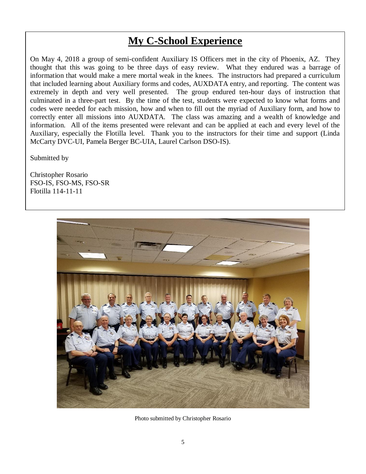### **My C-School Experience**

On May 4, 2018 a group of semi-confident Auxiliary IS Officers met in the city of Phoenix, AZ. They thought that this was going to be three days of easy review. What they endured was a barrage of information that would make a mere mortal weak in the knees. The instructors had prepared a curriculum that included learning about Auxiliary forms and codes, AUXDATA entry, and reporting. The content was extremely in depth and very well presented. The group endured ten-hour days of instruction that culminated in a three-part test. By the time of the test, students were expected to know what forms and codes were needed for each mission, how and when to fill out the myriad of Auxiliary form, and how to correctly enter all missions into AUXDATA. The class was amazing and a wealth of knowledge and information. All of the items presented were relevant and can be applied at each and every level of the Auxiliary, especially the Flotilla level. Thank you to the instructors for their time and support (Linda McCarty DVC-UI, Pamela Berger BC-UIA, Laurel Carlson DSO-IS).

Submitted by

Christopher Rosario FSO-IS, FSO-MS, FSO-SR Flotilla 114-11-11



Photo submitted by Christopher Rosario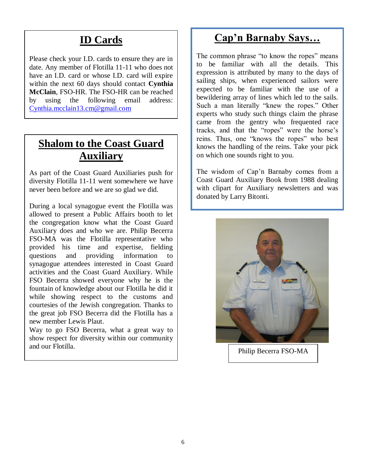### **ID Cards**

Please check your I.D. cards to ensure they are in date. Any member of Flotilla 11-11 who does not have an I.D. card or whose I.D. card will expire within the next 60 days should contact **Cynthia McClain**, FSO-HR. The FSO-HR can be reached by using the following email address: [Cynthia.mcclain13.cm@gmail.com](mailto:Cynthia.mcclain13.cm@gmail.com)

#### **Shalom to the Coast Guard Auxiliary**

As part of the Coast Guard Auxiliaries push for diversity Flotilla 11-11 went somewhere we have never been before and we are so glad we did.

During a local synagogue event the Flotilla was allowed to present a Public Affairs booth to let the congregation know what the Coast Guard Auxiliary does and who we are. Philip Becerra FSO-MA was the Flotilla representative who provided his time and expertise, fielding questions and providing information to synagogue attendees interested in Coast Guard activities and the Coast Guard Auxiliary. While FSO Becerra showed everyone why he is the fountain of knowledge about our Flotilla he did it while showing respect to the customs and courtesies of the Jewish congregation. Thanks to the great job FSO Becerra did the Flotilla has a new member Lewis Plaut.

 show respect for diversity within our community Way to go FSO Becerra, what a great way to and our Flotilla. This part of the second our Flotilla.

#### **Cap'n Barnaby Says…**

The common phrase "to know the ropes" means to be familiar with all the details. This expression is attributed by many to the days of sailing ships, when experienced sailors were expected to be familiar with the use of a bewildering array of lines which led to the sails. Such a man literally "knew the ropes." Other experts who study such things claim the phrase came from the gentry who frequented race tracks, and that the "ropes" were the horse's reins. Thus, one "knows the ropes" who best knows the handling of the reins. Take your pick on which one sounds right to you.

The wisdom of Cap'n Barnaby comes from a Coast Guard Auxiliary Book from 1988 dealing with clipart for Auxiliary newsletters and was donated by Larry Bitonti.

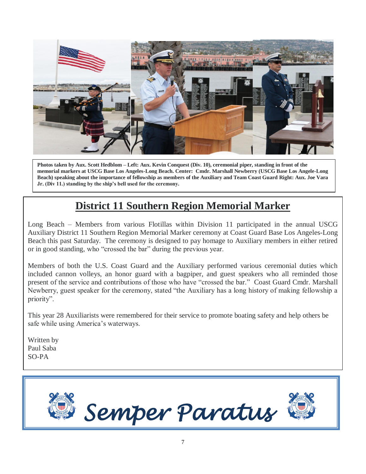

**Photos taken by Aux. Scott Hedblom – Left: Aux. Kevin Conquest (Div. 10), ceremonial piper, standing in front of the memorial markers at USCG Base Los Angeles-Long Beach. Center: Cmdr. Marshall Newberry (USCG Base Los Angele-Long Beach) speaking about the importance of fellowship as members of the Auxiliary and Team Coast Guard Right: Aux. Joe Vara Jr. (Div 11.) standing by the ship's bell used for the ceremony.**

## **District 11 Southern Region Memorial Marker**

Long Beach – Members from various Flotillas within Division 11 participated in the annual USCG Auxiliary District 11 Southern Region Memorial Marker ceremony at Coast Guard Base Los Angeles-Long Beach this past Saturday. The ceremony is designed to pay homage to Auxiliary members in either retired or in good standing, who "crossed the bar" during the previous year.

Members of both the U.S. Coast Guard and the Auxiliary performed various ceremonial duties which included cannon volleys, an honor guard with a bagpiper, and guest speakers who all reminded those present of the service and contributions of those who have "crossed the bar." Coast Guard Cmdr. Marshall Newberry, guest speaker for the ceremony, stated "the Auxiliary has a long history of making fellowship a priority".

This year 28 Auxiliarists were remembered for their service to promote boating safety and help others be safe while using America's waterways.

Written by Paul Saba SO-PA